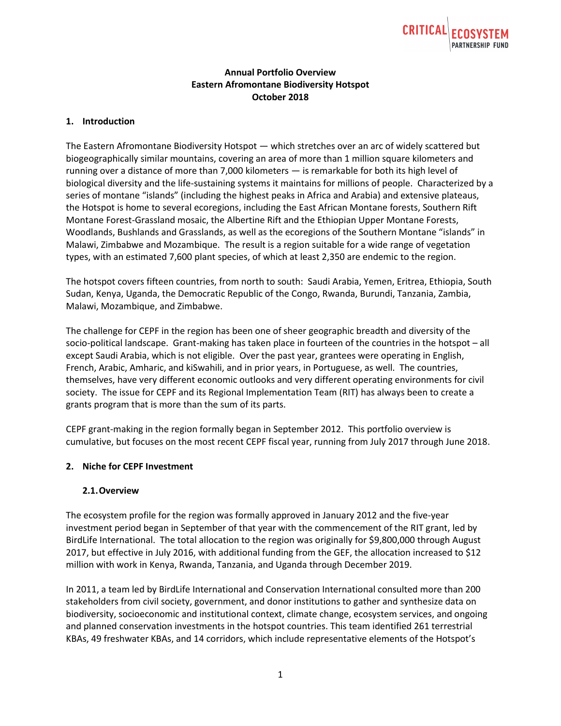

## **Annual Portfolio Overview Eastern Afromontane Biodiversity Hotspot October 2018**

### **1. Introduction**

The Eastern Afromontane Biodiversity Hotspot — which stretches over an arc of widely scattered but biogeographically similar mountains, covering an area of more than 1 million square kilometers and running over a distance of more than 7,000 kilometers — is remarkable for both its high level of biological diversity and the life-sustaining systems it maintains for millions of people. Characterized by a series of montane "islands" (including the highest peaks in Africa and Arabia) and extensive plateaus, the Hotspot is home to several ecoregions, including the East African Montane forests, Southern Rift Montane Forest-Grassland mosaic, the Albertine Rift and the Ethiopian Upper Montane Forests, Woodlands, Bushlands and Grasslands, as well as the ecoregions of the Southern Montane "islands" in Malawi, Zimbabwe and Mozambique. The result is a region suitable for a wide range of vegetation types, with an estimated 7,600 plant species, of which at least 2,350 are endemic to the region.

The hotspot covers fifteen countries, from north to south: Saudi Arabia, Yemen, Eritrea, Ethiopia, South Sudan, Kenya, Uganda, the Democratic Republic of the Congo, Rwanda, Burundi, Tanzania, Zambia, Malawi, Mozambique, and Zimbabwe.

The challenge for CEPF in the region has been one of sheer geographic breadth and diversity of the socio-political landscape. Grant-making has taken place in fourteen of the countries in the hotspot – all except Saudi Arabia, which is not eligible. Over the past year, grantees were operating in English, French, Arabic, Amharic, and kiSwahili, and in prior years, in Portuguese, as well. The countries, themselves, have very different economic outlooks and very different operating environments for civil society. The issue for CEPF and its Regional Implementation Team (RIT) has always been to create a grants program that is more than the sum of its parts.

CEPF grant-making in the region formally began in September 2012. This portfolio overview is cumulative, but focuses on the most recent CEPF fiscal year, running from July 2017 through June 2018.

### **2. Niche for CEPF Investment**

#### **2.1.Overview**

The ecosystem profile for the region was formally approved in January 2012 and the five-year investment period began in September of that year with the commencement of the RIT grant, led by BirdLife International. The total allocation to the region was originally for \$9,800,000 through August 2017, but effective in July 2016, with additional funding from the GEF, the allocation increased to \$12 million with work in Kenya, Rwanda, Tanzania, and Uganda through December 2019.

In 2011, a team led by BirdLife International and Conservation International consulted more than 200 stakeholders from civil society, government, and donor institutions to gather and synthesize data on biodiversity, socioeconomic and institutional context, climate change, ecosystem services, and ongoing and planned conservation investments in the hotspot countries. This team identified 261 terrestrial KBAs, 49 freshwater KBAs, and 14 corridors, which include representative elements of the Hotspot's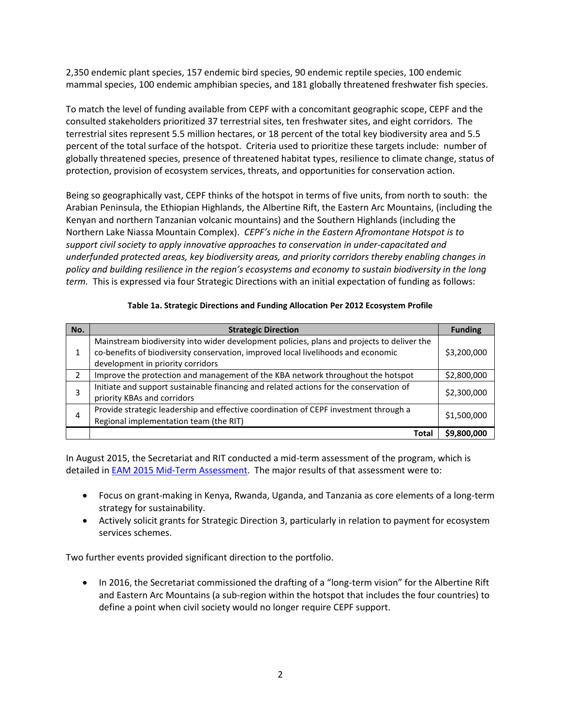2,350 endemic plant species, 157 endemic bird species, 90 endemic reptile species, 100 endemic mammal species, 100 endemic amphibian species, and 181 globally threatened freshwater fish species.

To match the level of funding available from CEPF with a concomitant geographic scope, CEPF and the consulted stakeholders prioritized 37 terrestrial sites, ten freshwater sites, and eight corridors. The terrestrial sites represent 5.5 million hectares, or 18 percent of the total key biodiversity area and 5.5 percent of the total surface of the hotspot. Criteria used to prioritize these targets include: number of globally threatened species, presence of threatened habitat types, resilience to climate change, status of protection, provision of ecosystem services, threats, and opportunities for conservation action.

Being so geographically vast, CEPF thinks of the hotspot in terms of five units, from north to south: the Arabian Peninsula, the Ethiopian Highlands, the Albertine Rift, the Eastern Arc Mountains, (including the Kenyan and northern Tanzanian volcanic mountains) and the Southern Highlands (including the Northern Lake Niassa Mountain Complex). *CEPF's niche in the Eastern Afromontane Hotspot is to support civil society to apply innovative approaches to conservation in under-capacitated and underfunded protected areas, key biodiversity areas, and priority corridors thereby enabling changes in policy and building resilience in the region's ecosystems and economy to sustain biodiversity in the long term.* This is expressed via four Strategic Directions with an initial expectation of funding as follows:

| No. | <b>Strategic Direction</b>                                                                                                                                                                                           | <b>Funding</b> |
|-----|----------------------------------------------------------------------------------------------------------------------------------------------------------------------------------------------------------------------|----------------|
| 1   | Mainstream biodiversity into wider development policies, plans and projects to deliver the<br>co-benefits of biodiversity conservation, improved local livelihoods and economic<br>development in priority corridors | \$3,200,000    |
| 2   | Improve the protection and management of the KBA network throughout the hotspot                                                                                                                                      | \$2,800,000    |
| 3   | Initiate and support sustainable financing and related actions for the conservation of<br>priority KBAs and corridors                                                                                                | \$2,300,000    |
| 4   | Provide strategic leadership and effective coordination of CEPF investment through a<br>Regional implementation team (the RIT)                                                                                       | \$1,500,000    |
|     | Tota                                                                                                                                                                                                                 | \$9,800,000    |

In August 2015, the Secretariat and RIT conducted a mid-term assessment of the program, which is detailed in [EAM 2015 Mid-Term](https://www.cepf.net/sites/default/files/eam-midtermassessment-lores.pdf) Assessment. The major results of that assessment were to:

- Focus on grant-making in Kenya, Rwanda, Uganda, and Tanzania as core elements of a long-term strategy for sustainability.
- Actively solicit grants for Strategic Direction 3, particularly in relation to payment for ecosystem services schemes.

Two further events provided significant direction to the portfolio.

• In 2016, the Secretariat commissioned the drafting of a "long-term vision" for the Albertine Rift and Eastern Arc Mountains (a sub-region within the hotspot that includes the four countries) to define a point when civil society would no longer require CEPF support.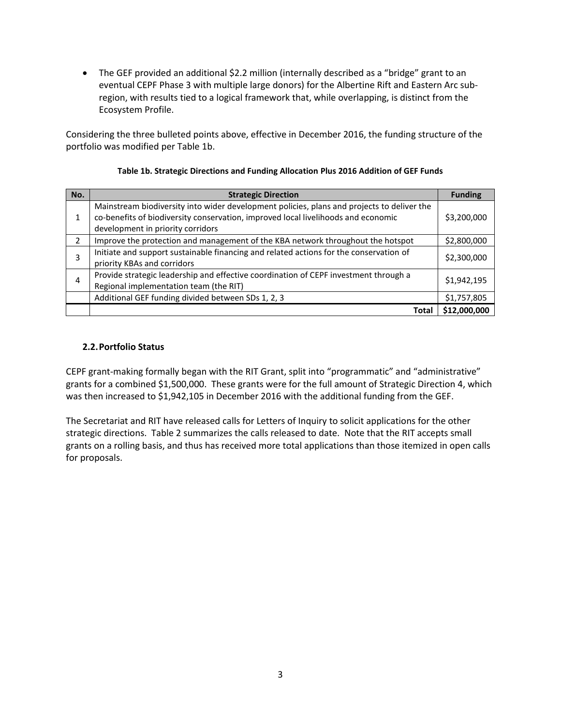• The GEF provided an additional \$2.2 million (internally described as a "bridge" grant to an eventual CEPF Phase 3 with multiple large donors) for the Albertine Rift and Eastern Arc subregion, with results tied to a logical framework that, while overlapping, is distinct from the Ecosystem Profile.

Considering the three bulleted points above, effective in December 2016, the funding structure of the portfolio was modified per Table 1b.

| No.           | <b>Strategic Direction</b>                                                                 | <b>Funding</b> |
|---------------|--------------------------------------------------------------------------------------------|----------------|
|               | Mainstream biodiversity into wider development policies, plans and projects to deliver the |                |
|               | co-benefits of biodiversity conservation, improved local livelihoods and economic          | \$3,200,000    |
|               | development in priority corridors                                                          |                |
| $\mathcal{P}$ | Improve the protection and management of the KBA network throughout the hotspot            | \$2,800,000    |
|               | Initiate and support sustainable financing and related actions for the conservation of     |                |
|               | priority KBAs and corridors                                                                | \$2,300,000    |
|               | Provide strategic leadership and effective coordination of CEPF investment through a       |                |
|               | Regional implementation team (the RIT)                                                     | \$1,942,195    |
|               | Additional GEF funding divided between SDs 1, 2, 3                                         | \$1,757,805    |
|               | Total                                                                                      | \$12,000,000   |

#### **Table 1b. Strategic Directions and Funding Allocation Plus 2016 Addition of GEF Funds**

### **2.2.Portfolio Status**

CEPF grant-making formally began with the RIT Grant, split into "programmatic" and "administrative" grants for a combined \$1,500,000. These grants were for the full amount of Strategic Direction 4, which was then increased to \$1,942,105 in December 2016 with the additional funding from the GEF.

The Secretariat and RIT have released calls for Letters of Inquiry to solicit applications for the other strategic directions. Table 2 summarizes the calls released to date. Note that the RIT accepts small grants on a rolling basis, and thus has received more total applications than those itemized in open calls for proposals.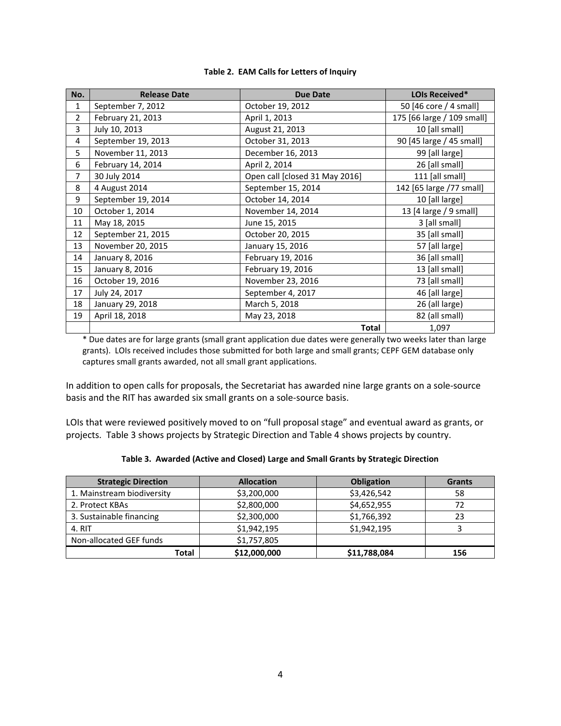| No.            | <b>Release Date</b> | <b>Due Date</b>                | LOIs Received*             |
|----------------|---------------------|--------------------------------|----------------------------|
| $\mathbf{1}$   | September 7, 2012   | October 19, 2012               | 50 [46 core / 4 small]     |
| $\overline{2}$ | February 21, 2013   | April 1, 2013                  | 175 [66 large / 109 small] |
| 3              | July 10, 2013       | August 21, 2013                | 10 [all small]             |
| 4              | September 19, 2013  | October 31, 2013               | 90 [45 large / 45 small]   |
| 5              | November 11, 2013   | December 16, 2013              | 99 [all large]             |
| 6              | February 14, 2014   | April 2, 2014                  | 26 [all small]             |
| $\overline{7}$ | 30 July 2014        | Open call [closed 31 May 2016] | 111 [all small]            |
| 8              | 4 August 2014       | September 15, 2014             | 142 [65 large /77 small]   |
| 9              | September 19, 2014  | October 14, 2014               | 10 [all large]             |
| 10             | October 1, 2014     | November 14, 2014              | 13 [4 large / 9 small]     |
| 11             | May 18, 2015        | June 15, 2015                  | 3 [all small]              |
| 12             | September 21, 2015  | October 20, 2015               | 35 [all small]             |
| 13             | November 20, 2015   | January 15, 2016               | 57 [all large]             |
| 14             | January 8, 2016     | February 19, 2016              | 36 [all small]             |
| 15             | January 8, 2016     | February 19, 2016              | 13 [all small]             |
| 16             | October 19, 2016    | November 23, 2016              | 73 [all small]             |
| 17             | July 24, 2017       | September 4, 2017              | 46 [all large]             |
| 18             | January 29, 2018    | March 5, 2018                  | 26 (all large)             |
| 19             | April 18, 2018      | May 23, 2018                   | 82 (all small)             |
|                |                     | Total                          | 1,097                      |

#### **Table 2. EAM Calls for Letters of Inquiry**

\* Due dates are for large grants (small grant application due dates were generally two weeks later than large grants). LOIs received includes those submitted for both large and small grants; CEPF GEM database only captures small grants awarded, not all small grant applications.

In addition to open calls for proposals, the Secretariat has awarded nine large grants on a sole-source basis and the RIT has awarded six small grants on a sole-source basis.

LOIs that were reviewed positively moved to on "full proposal stage" and eventual award as grants, or projects. Table 3 shows projects by Strategic Direction and Table 4 shows projects by country.

| Table 3. Awarded (Active and Closed) Large and Small Grants by Strategic Direction |  |
|------------------------------------------------------------------------------------|--|
|------------------------------------------------------------------------------------|--|

| <b>Strategic Direction</b> | <b>Allocation</b> | <b>Obligation</b> | <b>Grants</b> |
|----------------------------|-------------------|-------------------|---------------|
| 1. Mainstream biodiversity | \$3,200,000       | \$3,426,542       | 58            |
| 2. Protect KBAs            | \$2,800,000       | \$4,652,955       |               |
| 3. Sustainable financing   | \$2,300,000       | \$1,766,392       | 23            |
| 4. RIT                     | \$1,942,195       | \$1,942,195       |               |
| Non-allocated GEF funds    | \$1,757,805       |                   |               |
| <b>Total</b>               | \$12,000,000      | \$11,788,084      | 156           |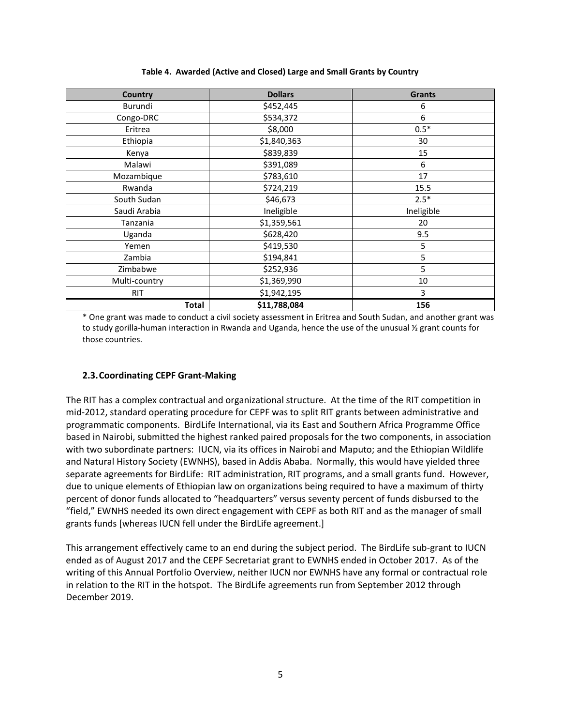| <b>Country</b> | <b>Dollars</b> | <b>Grants</b> |
|----------------|----------------|---------------|
| Burundi        | \$452,445      | 6             |
| Congo-DRC      | \$534,372      | 6             |
| Eritrea        | \$8,000        | $0.5*$        |
| Ethiopia       | \$1,840,363    | 30            |
| Kenya          | \$839,839      | 15            |
| Malawi         | \$391,089      | 6             |
| Mozambique     | \$783,610      | 17            |
| Rwanda         | \$724,219      | 15.5          |
| South Sudan    | \$46,673       | $2.5*$        |
| Saudi Arabia   | Ineligible     | Ineligible    |
| Tanzania       | \$1,359,561    | 20            |
| Uganda         | \$628,420      | 9.5           |
| Yemen          | \$419,530      | 5             |
| Zambia         | \$194,841      | 5             |
| Zimbabwe       | \$252,936      | 5             |
| Multi-country  | \$1,369,990    | 10            |
| <b>RIT</b>     | \$1,942,195    | 3             |
| <b>Total</b>   | \$11,788,084   | 156           |

**Table 4. Awarded (Active and Closed) Large and Small Grants by Country**

\* One grant was made to conduct a civil society assessment in Eritrea and South Sudan, and another grant was to study gorilla-human interaction in Rwanda and Uganda, hence the use of the unusual 1/2 grant counts for those countries.

### **2.3.Coordinating CEPF Grant-Making**

The RIT has a complex contractual and organizational structure. At the time of the RIT competition in mid-2012, standard operating procedure for CEPF was to split RIT grants between administrative and programmatic components. BirdLife International, via its East and Southern Africa Programme Office based in Nairobi, submitted the highest ranked paired proposals for the two components, in association with two subordinate partners: IUCN, via its offices in Nairobi and Maputo; and the Ethiopian Wildlife and Natural History Society (EWNHS), based in Addis Ababa. Normally, this would have yielded three separate agreements for BirdLife: RIT administration, RIT programs, and a small grants fund. However, due to unique elements of Ethiopian law on organizations being required to have a maximum of thirty percent of donor funds allocated to "headquarters" versus seventy percent of funds disbursed to the "field," EWNHS needed its own direct engagement with CEPF as both RIT and as the manager of small grants funds [whereas IUCN fell under the BirdLife agreement.]

This arrangement effectively came to an end during the subject period. The BirdLife sub-grant to IUCN ended as of August 2017 and the CEPF Secretariat grant to EWNHS ended in October 2017. As of the writing of this Annual Portfolio Overview, neither IUCN nor EWNHS have any formal or contractual role in relation to the RIT in the hotspot. The BirdLife agreements run from September 2012 through December 2019.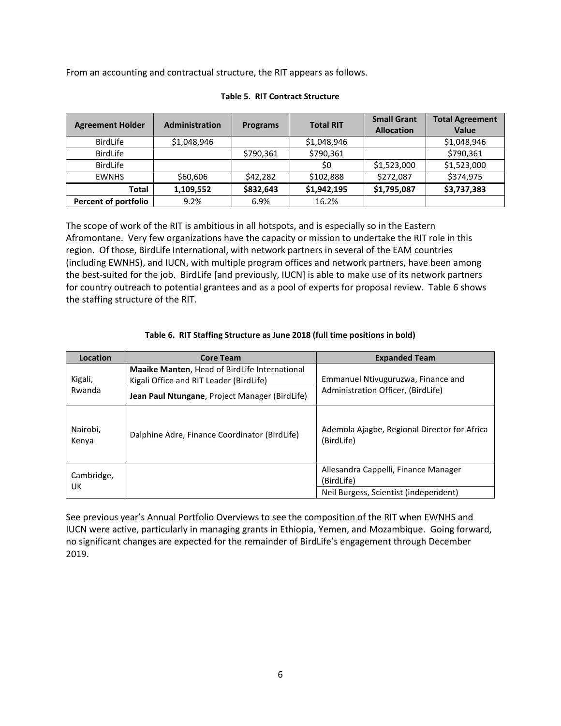From an accounting and contractual structure, the RIT appears as follows.

| <b>Agreement Holder</b>     | <b>Administration</b> | <b>Programs</b> | <b>Total RIT</b> | <b>Small Grant</b><br><b>Allocation</b> | <b>Total Agreement</b><br><b>Value</b> |
|-----------------------------|-----------------------|-----------------|------------------|-----------------------------------------|----------------------------------------|
| <b>BirdLife</b>             | \$1,048,946           |                 | \$1,048,946      |                                         | \$1,048,946                            |
| BirdLife                    |                       | \$790,361       | \$790,361        |                                         | \$790,361                              |
| BirdLife                    |                       |                 | \$0              | \$1,523,000                             | \$1,523,000                            |
| <b>EWNHS</b>                | \$60,606              | \$42,282        | \$102,888        | \$272,087                               | \$374,975                              |
| Total                       | 1,109,552             | \$832,643       | \$1,942,195      | \$1,795,087                             | \$3,737,383                            |
| <b>Percent of portfolio</b> | 9.2%                  | 6.9%            | 16.2%            |                                         |                                        |

#### **Table 5. RIT Contract Structure**

The scope of work of the RIT is ambitious in all hotspots, and is especially so in the Eastern Afromontane. Very few organizations have the capacity or mission to undertake the RIT role in this region. Of those, BirdLife International, with network partners in several of the EAM countries (including EWNHS), and IUCN, with multiple program offices and network partners, have been among the best-suited for the job. BirdLife [and previously, IUCN] is able to make use of its network partners for country outreach to potential grantees and as a pool of experts for proposal review. Table 6 shows the staffing structure of the RIT.

#### **Table 6. RIT Staffing Structure as June 2018 (full time positions in bold)**

| Location          | <b>Core Team</b>                                                                                | <b>Expanded Team</b>                                       |
|-------------------|-------------------------------------------------------------------------------------------------|------------------------------------------------------------|
| Kigali,           | <b>Maaike Manten, Head of BirdLife International</b><br>Kigali Office and RIT Leader (BirdLife) | Emmanuel Ntivuguruzwa, Finance and                         |
| Rwanda            | Jean Paul Ntungane, Project Manager (BirdLife)                                                  | Administration Officer, (BirdLife)                         |
| Nairobi,<br>Kenya | Dalphine Adre, Finance Coordinator (BirdLife)                                                   | Ademola Ajagbe, Regional Director for Africa<br>(BirdLife) |
| Cambridge,        |                                                                                                 | Allesandra Cappelli, Finance Manager<br>(BirdLife)         |
| UK                |                                                                                                 | Neil Burgess, Scientist (independent)                      |

See previous year's Annual Portfolio Overviews to see the composition of the RIT when EWNHS and IUCN were active, particularly in managing grants in Ethiopia, Yemen, and Mozambique. Going forward, no significant changes are expected for the remainder of BirdLife's engagement through December 2019.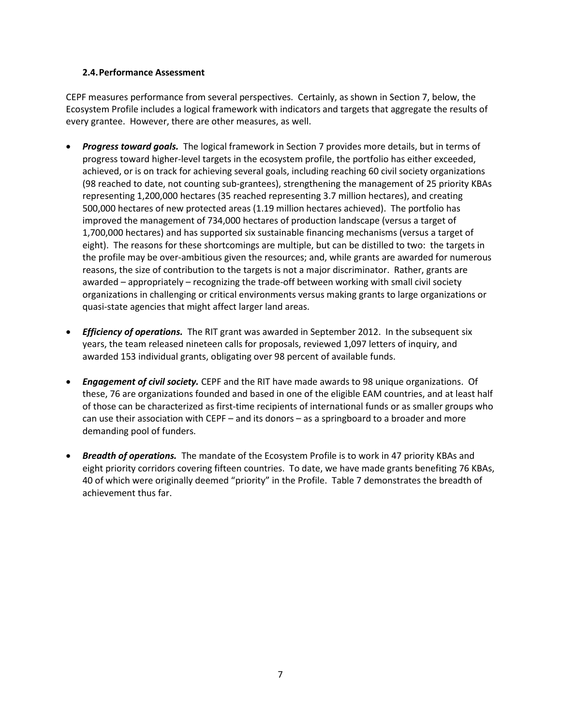### **2.4.Performance Assessment**

CEPF measures performance from several perspectives. Certainly, as shown in Section 7, below, the Ecosystem Profile includes a logical framework with indicators and targets that aggregate the results of every grantee. However, there are other measures, as well.

- *Progress toward goals.* The logical framework in Section 7 provides more details, but in terms of progress toward higher-level targets in the ecosystem profile, the portfolio has either exceeded, achieved, or is on track for achieving several goals, including reaching 60 civil society organizations (98 reached to date, not counting sub-grantees), strengthening the management of 25 priority KBAs representing 1,200,000 hectares (35 reached representing 3.7 million hectares), and creating 500,000 hectares of new protected areas (1.19 million hectares achieved). The portfolio has improved the management of 734,000 hectares of production landscape (versus a target of 1,700,000 hectares) and has supported six sustainable financing mechanisms (versus a target of eight). The reasons for these shortcomings are multiple, but can be distilled to two: the targets in the profile may be over-ambitious given the resources; and, while grants are awarded for numerous reasons, the size of contribution to the targets is not a major discriminator. Rather, grants are awarded – appropriately – recognizing the trade-off between working with small civil society organizations in challenging or critical environments versus making grants to large organizations or quasi-state agencies that might affect larger land areas.
- *Efficiency of operations.* The RIT grant was awarded in September 2012. In the subsequent six years, the team released nineteen calls for proposals, reviewed 1,097 letters of inquiry, and awarded 153 individual grants, obligating over 98 percent of available funds.
- *Engagement of civil society.* CEPF and the RIT have made awards to 98 unique organizations. Of these, 76 are organizations founded and based in one of the eligible EAM countries, and at least half of those can be characterized as first-time recipients of international funds or as smaller groups who can use their association with CEPF – and its donors – as a springboard to a broader and more demanding pool of funders.
- *Breadth of operations.* The mandate of the Ecosystem Profile is to work in 47 priority KBAs and eight priority corridors covering fifteen countries. To date, we have made grants benefiting 76 KBAs, 40 of which were originally deemed "priority" in the Profile. Table 7 demonstrates the breadth of achievement thus far.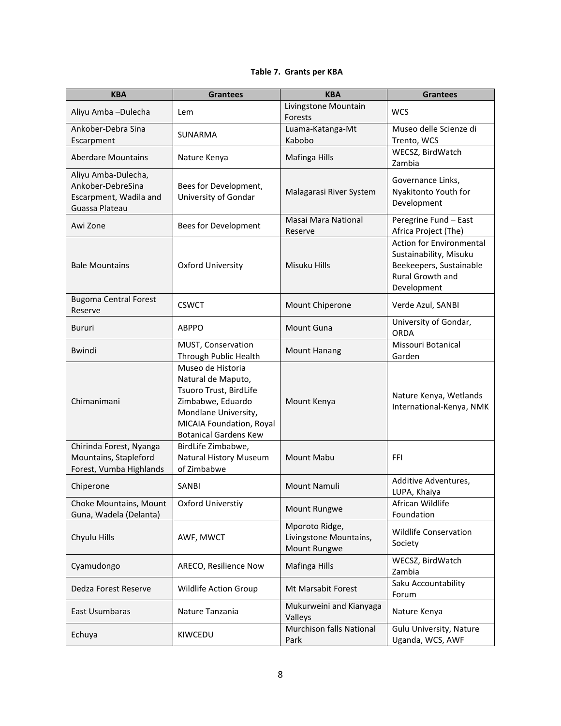### **Table 7. Grants per KBA**

| <b>KBA</b>                                                                           | <b>Grantees</b>                                                                                                                                                            | <b>KBA</b>                                               | <b>Grantees</b>                                                                                                         |
|--------------------------------------------------------------------------------------|----------------------------------------------------------------------------------------------------------------------------------------------------------------------------|----------------------------------------------------------|-------------------------------------------------------------------------------------------------------------------------|
| Aliyu Amba-Dulecha                                                                   | Lem                                                                                                                                                                        | Livingstone Mountain<br>Forests                          | <b>WCS</b>                                                                                                              |
| Ankober-Debra Sina<br>Escarpment                                                     | <b>SUNARMA</b>                                                                                                                                                             | Luama-Katanga-Mt<br>Kabobo                               | Museo delle Scienze di<br>Trento, WCS                                                                                   |
| <b>Aberdare Mountains</b>                                                            | Nature Kenya                                                                                                                                                               | Mafinga Hills                                            | WECSZ, BirdWatch<br>Zambia                                                                                              |
| Aliyu Amba-Dulecha,<br>Ankober-DebreSina<br>Escarpment, Wadila and<br>Guassa Plateau | Bees for Development,<br>University of Gondar                                                                                                                              | Malagarasi River System                                  | Governance Links,<br>Nyakitonto Youth for<br>Development                                                                |
| Awi Zone                                                                             | Bees for Development                                                                                                                                                       | Masai Mara National<br>Reserve                           | Peregrine Fund - East<br>Africa Project (The)                                                                           |
| <b>Bale Mountains</b>                                                                | <b>Oxford University</b>                                                                                                                                                   | Misuku Hills                                             | <b>Action for Environmental</b><br>Sustainability, Misuku<br>Beekeepers, Sustainable<br>Rural Growth and<br>Development |
| <b>Bugoma Central Forest</b><br>Reserve                                              | <b>CSWCT</b>                                                                                                                                                               | Mount Chiperone                                          | Verde Azul, SANBI                                                                                                       |
| Bururi                                                                               | <b>ABPPO</b>                                                                                                                                                               | <b>Mount Guna</b>                                        | University of Gondar,<br><b>ORDA</b>                                                                                    |
| <b>Bwindi</b>                                                                        | MUST, Conservation<br>Through Public Health                                                                                                                                | <b>Mount Hanang</b>                                      | Missouri Botanical<br>Garden                                                                                            |
| Chimanimani                                                                          | Museo de Historia<br>Natural de Maputo,<br>Tsuoro Trust, BirdLife<br>Zimbabwe, Eduardo<br>Mondlane University,<br>MICAIA Foundation, Royal<br><b>Botanical Gardens Kew</b> | Mount Kenya                                              | Nature Kenya, Wetlands<br>International-Kenya, NMK                                                                      |
| Chirinda Forest, Nyanga<br>Mountains, Stapleford<br>Forest, Vumba Highlands          | BirdLife Zimbabwe,<br>Natural History Museum<br>of Zimbabwe                                                                                                                | <b>Mount Mabu</b>                                        | <b>FFI</b>                                                                                                              |
| Chiperone                                                                            | <b>SANBI</b>                                                                                                                                                               | Mount Namuli                                             | Additive Adventures,<br>LUPA, Khaiya                                                                                    |
| Choke Mountains, Mount<br>Guna, Wadela (Delanta)                                     | Oxford Universtiy                                                                                                                                                          | Mount Rungwe                                             | African Wildlife<br>Foundation                                                                                          |
| Chyulu Hills                                                                         | AWF, MWCT                                                                                                                                                                  | Mporoto Ridge,<br>Livingstone Mountains,<br>Mount Rungwe | Wildlife Conservation<br>Society                                                                                        |
| Cyamudongo                                                                           | ARECO, Resilience Now                                                                                                                                                      | Mafinga Hills                                            | WECSZ, BirdWatch<br>Zambia                                                                                              |
| Dedza Forest Reserve                                                                 | Wildlife Action Group                                                                                                                                                      | Mt Marsabit Forest                                       | Saku Accountability<br>Forum                                                                                            |
| East Usumbaras                                                                       | Nature Tanzania                                                                                                                                                            | Mukurweini and Kianyaga<br>Valleys                       | Nature Kenya                                                                                                            |
| Echuya                                                                               | KIWCEDU                                                                                                                                                                    | Murchison falls National<br>Park                         | Gulu University, Nature<br>Uganda, WCS, AWF                                                                             |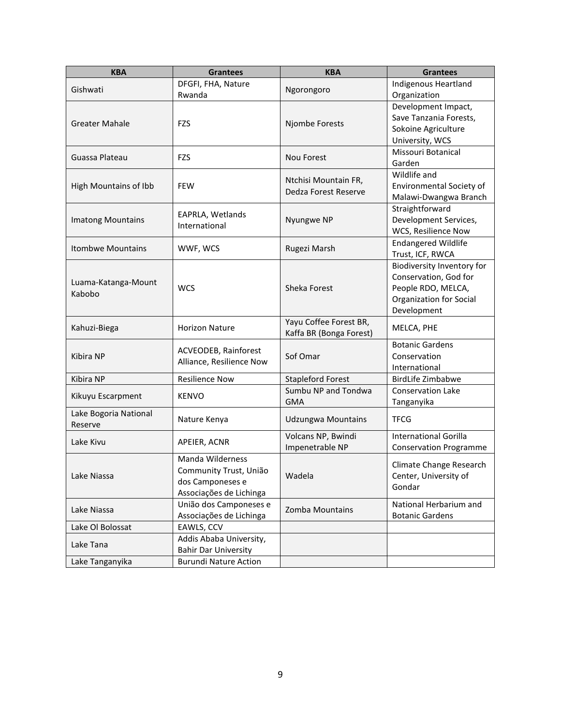| Indigenous Heartland<br>DFGFI, FHA, Nature<br>Gishwati<br>Ngorongoro<br>Rwanda<br>Organization<br>Development Impact,<br>Save Tanzania Forests,<br><b>Greater Mahale</b><br><b>FZS</b><br>Njombe Forests<br>Sokoine Agriculture<br>University, WCS<br>Missouri Botanical<br>Guassa Plateau<br><b>FZS</b><br>Nou Forest<br>Garden<br>Wildlife and<br>Ntchisi Mountain FR,<br>Environmental Society of<br>High Mountains of Ibb<br><b>FEW</b><br>Dedza Forest Reserve<br>Malawi-Dwangwa Branch<br>Straightforward<br>EAPRLA, Wetlands<br>Development Services,<br>Nyungwe NP<br><b>Imatong Mountains</b><br>International<br>WCS, Resilience Now<br><b>Endangered Wildlife</b><br><b>Itombwe Mountains</b><br>WWF, WCS<br>Rugezi Marsh<br>Trust, ICF, RWCA<br>Biodiversity Inventory for<br>Conservation, God for<br>Luama-Katanga-Mount<br>Sheka Forest<br>People RDO, MELCA,<br><b>WCS</b><br>Kabobo<br>Organization for Social<br>Development | <b>KBA</b> | <b>Grantees</b>                                  | <b>KBA</b> | <b>Grantees</b> |
|------------------------------------------------------------------------------------------------------------------------------------------------------------------------------------------------------------------------------------------------------------------------------------------------------------------------------------------------------------------------------------------------------------------------------------------------------------------------------------------------------------------------------------------------------------------------------------------------------------------------------------------------------------------------------------------------------------------------------------------------------------------------------------------------------------------------------------------------------------------------------------------------------------------------------------------------|------------|--------------------------------------------------|------------|-----------------|
|                                                                                                                                                                                                                                                                                                                                                                                                                                                                                                                                                                                                                                                                                                                                                                                                                                                                                                                                                |            |                                                  |            |                 |
|                                                                                                                                                                                                                                                                                                                                                                                                                                                                                                                                                                                                                                                                                                                                                                                                                                                                                                                                                |            |                                                  |            |                 |
|                                                                                                                                                                                                                                                                                                                                                                                                                                                                                                                                                                                                                                                                                                                                                                                                                                                                                                                                                |            |                                                  |            |                 |
|                                                                                                                                                                                                                                                                                                                                                                                                                                                                                                                                                                                                                                                                                                                                                                                                                                                                                                                                                |            |                                                  |            |                 |
|                                                                                                                                                                                                                                                                                                                                                                                                                                                                                                                                                                                                                                                                                                                                                                                                                                                                                                                                                |            |                                                  |            |                 |
|                                                                                                                                                                                                                                                                                                                                                                                                                                                                                                                                                                                                                                                                                                                                                                                                                                                                                                                                                |            |                                                  |            |                 |
|                                                                                                                                                                                                                                                                                                                                                                                                                                                                                                                                                                                                                                                                                                                                                                                                                                                                                                                                                |            |                                                  |            |                 |
|                                                                                                                                                                                                                                                                                                                                                                                                                                                                                                                                                                                                                                                                                                                                                                                                                                                                                                                                                |            |                                                  |            |                 |
|                                                                                                                                                                                                                                                                                                                                                                                                                                                                                                                                                                                                                                                                                                                                                                                                                                                                                                                                                |            |                                                  |            |                 |
|                                                                                                                                                                                                                                                                                                                                                                                                                                                                                                                                                                                                                                                                                                                                                                                                                                                                                                                                                |            |                                                  |            |                 |
|                                                                                                                                                                                                                                                                                                                                                                                                                                                                                                                                                                                                                                                                                                                                                                                                                                                                                                                                                |            |                                                  |            |                 |
|                                                                                                                                                                                                                                                                                                                                                                                                                                                                                                                                                                                                                                                                                                                                                                                                                                                                                                                                                |            |                                                  |            |                 |
|                                                                                                                                                                                                                                                                                                                                                                                                                                                                                                                                                                                                                                                                                                                                                                                                                                                                                                                                                |            |                                                  |            |                 |
|                                                                                                                                                                                                                                                                                                                                                                                                                                                                                                                                                                                                                                                                                                                                                                                                                                                                                                                                                |            |                                                  |            |                 |
|                                                                                                                                                                                                                                                                                                                                                                                                                                                                                                                                                                                                                                                                                                                                                                                                                                                                                                                                                |            |                                                  |            |                 |
|                                                                                                                                                                                                                                                                                                                                                                                                                                                                                                                                                                                                                                                                                                                                                                                                                                                                                                                                                |            |                                                  |            |                 |
|                                                                                                                                                                                                                                                                                                                                                                                                                                                                                                                                                                                                                                                                                                                                                                                                                                                                                                                                                |            |                                                  |            |                 |
|                                                                                                                                                                                                                                                                                                                                                                                                                                                                                                                                                                                                                                                                                                                                                                                                                                                                                                                                                |            |                                                  |            |                 |
|                                                                                                                                                                                                                                                                                                                                                                                                                                                                                                                                                                                                                                                                                                                                                                                                                                                                                                                                                |            |                                                  |            |                 |
| Yayu Coffee Forest BR,                                                                                                                                                                                                                                                                                                                                                                                                                                                                                                                                                                                                                                                                                                                                                                                                                                                                                                                         |            |                                                  |            |                 |
| Kahuzi-Biega<br>MELCA, PHE<br>Kaffa BR (Bonga Forest)                                                                                                                                                                                                                                                                                                                                                                                                                                                                                                                                                                                                                                                                                                                                                                                                                                                                                          |            | <b>Horizon Nature</b>                            |            |                 |
| <b>Botanic Gardens</b>                                                                                                                                                                                                                                                                                                                                                                                                                                                                                                                                                                                                                                                                                                                                                                                                                                                                                                                         |            | ACVEODEB, Rainforest<br>Alliance, Resilience Now | Sof Omar   |                 |
| Kibira NP<br>Conservation                                                                                                                                                                                                                                                                                                                                                                                                                                                                                                                                                                                                                                                                                                                                                                                                                                                                                                                      |            |                                                  |            |                 |
| International                                                                                                                                                                                                                                                                                                                                                                                                                                                                                                                                                                                                                                                                                                                                                                                                                                                                                                                                  |            |                                                  |            |                 |
| Kibira NP<br><b>Resilience Now</b><br><b>BirdLife Zimbabwe</b><br><b>Stapleford Forest</b>                                                                                                                                                                                                                                                                                                                                                                                                                                                                                                                                                                                                                                                                                                                                                                                                                                                     |            |                                                  |            |                 |
| Sumbu NP and Tondwa<br><b>Conservation Lake</b><br>KENVO<br>Kikuyu Escarpment<br><b>GMA</b>                                                                                                                                                                                                                                                                                                                                                                                                                                                                                                                                                                                                                                                                                                                                                                                                                                                    |            |                                                  |            |                 |
| Tanganyika<br>Lake Bogoria National                                                                                                                                                                                                                                                                                                                                                                                                                                                                                                                                                                                                                                                                                                                                                                                                                                                                                                            |            |                                                  |            |                 |
| <b>TFCG</b><br>Nature Kenya<br><b>Udzungwa Mountains</b><br>Reserve                                                                                                                                                                                                                                                                                                                                                                                                                                                                                                                                                                                                                                                                                                                                                                                                                                                                            |            |                                                  |            |                 |
| <b>International Gorilla</b><br>Volcans NP, Bwindi<br>Lake Kivu                                                                                                                                                                                                                                                                                                                                                                                                                                                                                                                                                                                                                                                                                                                                                                                                                                                                                |            |                                                  |            |                 |
| APEIER, ACNR<br>Impenetrable NP<br><b>Conservation Programme</b>                                                                                                                                                                                                                                                                                                                                                                                                                                                                                                                                                                                                                                                                                                                                                                                                                                                                               |            |                                                  |            |                 |
| <b>Manda Wilderness</b><br>Climate Change Research                                                                                                                                                                                                                                                                                                                                                                                                                                                                                                                                                                                                                                                                                                                                                                                                                                                                                             |            |                                                  |            |                 |
| Community Trust, União<br>Center, University of<br>Lake Niassa<br>Wadela                                                                                                                                                                                                                                                                                                                                                                                                                                                                                                                                                                                                                                                                                                                                                                                                                                                                       |            |                                                  |            |                 |
| dos Camponeses e<br>Gondar                                                                                                                                                                                                                                                                                                                                                                                                                                                                                                                                                                                                                                                                                                                                                                                                                                                                                                                     |            |                                                  |            |                 |
| Associações de Lichinga                                                                                                                                                                                                                                                                                                                                                                                                                                                                                                                                                                                                                                                                                                                                                                                                                                                                                                                        |            |                                                  |            |                 |
| União dos Camponeses e<br>National Herbarium and<br>Zomba Mountains<br>Lake Niassa                                                                                                                                                                                                                                                                                                                                                                                                                                                                                                                                                                                                                                                                                                                                                                                                                                                             |            |                                                  |            |                 |
| Associações de Lichinga<br><b>Botanic Gardens</b>                                                                                                                                                                                                                                                                                                                                                                                                                                                                                                                                                                                                                                                                                                                                                                                                                                                                                              |            |                                                  |            |                 |
| EAWLS, CCV<br>Lake OI Bolossat<br>Addis Ababa University,                                                                                                                                                                                                                                                                                                                                                                                                                                                                                                                                                                                                                                                                                                                                                                                                                                                                                      |            |                                                  |            |                 |
| Lake Tana<br><b>Bahir Dar University</b>                                                                                                                                                                                                                                                                                                                                                                                                                                                                                                                                                                                                                                                                                                                                                                                                                                                                                                       |            |                                                  |            |                 |
| Lake Tanganyika<br><b>Burundi Nature Action</b>                                                                                                                                                                                                                                                                                                                                                                                                                                                                                                                                                                                                                                                                                                                                                                                                                                                                                                |            |                                                  |            |                 |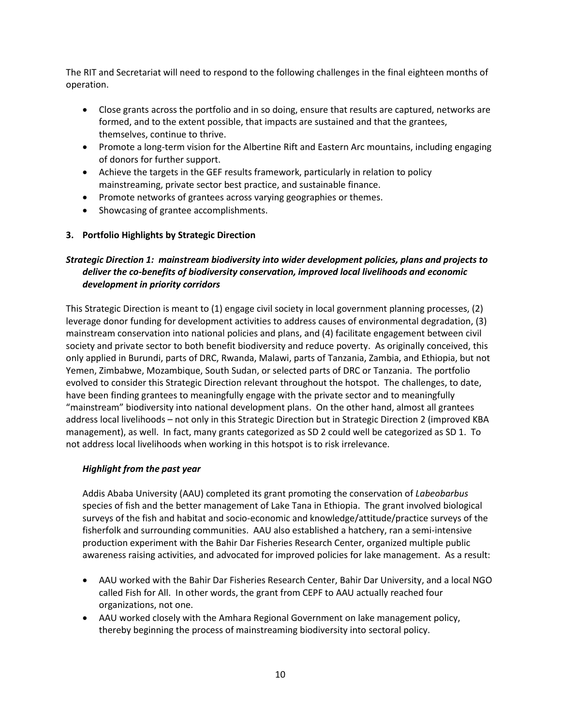The RIT and Secretariat will need to respond to the following challenges in the final eighteen months of operation.

- Close grants across the portfolio and in so doing, ensure that results are captured, networks are formed, and to the extent possible, that impacts are sustained and that the grantees, themselves, continue to thrive.
- Promote a long-term vision for the Albertine Rift and Eastern Arc mountains, including engaging of donors for further support.
- Achieve the targets in the GEF results framework, particularly in relation to policy mainstreaming, private sector best practice, and sustainable finance.
- Promote networks of grantees across varying geographies or themes.
- Showcasing of grantee accomplishments.

## **3. Portfolio Highlights by Strategic Direction**

# *Strategic Direction 1: mainstream biodiversity into wider development policies, plans and projects to deliver the co-benefits of biodiversity conservation, improved local livelihoods and economic development in priority corridors*

This Strategic Direction is meant to (1) engage civil society in local government planning processes, (2) leverage donor funding for development activities to address causes of environmental degradation, (3) mainstream conservation into national policies and plans, and (4) facilitate engagement between civil society and private sector to both benefit biodiversity and reduce poverty. As originally conceived, this only applied in Burundi, parts of DRC, Rwanda, Malawi, parts of Tanzania, Zambia, and Ethiopia, but not Yemen, Zimbabwe, Mozambique, South Sudan, or selected parts of DRC or Tanzania. The portfolio evolved to consider this Strategic Direction relevant throughout the hotspot. The challenges, to date, have been finding grantees to meaningfully engage with the private sector and to meaningfully "mainstream" biodiversity into national development plans. On the other hand, almost all grantees address local livelihoods – not only in this Strategic Direction but in Strategic Direction 2 (improved KBA management), as well. In fact, many grants categorized as SD 2 could well be categorized as SD 1. To not address local livelihoods when working in this hotspot is to risk irrelevance.

### *Highlight from the past year*

Addis Ababa University (AAU) completed its grant promoting the conservation of *Labeobarbus* species of fish and the better management of Lake Tana in Ethiopia. The grant involved biological surveys of the fish and habitat and socio-economic and knowledge/attitude/practice surveys of the fisherfolk and surrounding communities. AAU also established a hatchery, ran a semi-intensive production experiment with the Bahir Dar Fisheries Research Center, organized multiple public awareness raising activities, and advocated for improved policies for lake management. As a result:

- AAU worked with the Bahir Dar Fisheries Research Center, Bahir Dar University, and a local NGO called Fish for All. In other words, the grant from CEPF to AAU actually reached four organizations, not one.
- AAU worked closely with the Amhara Regional Government on lake management policy, thereby beginning the process of mainstreaming biodiversity into sectoral policy.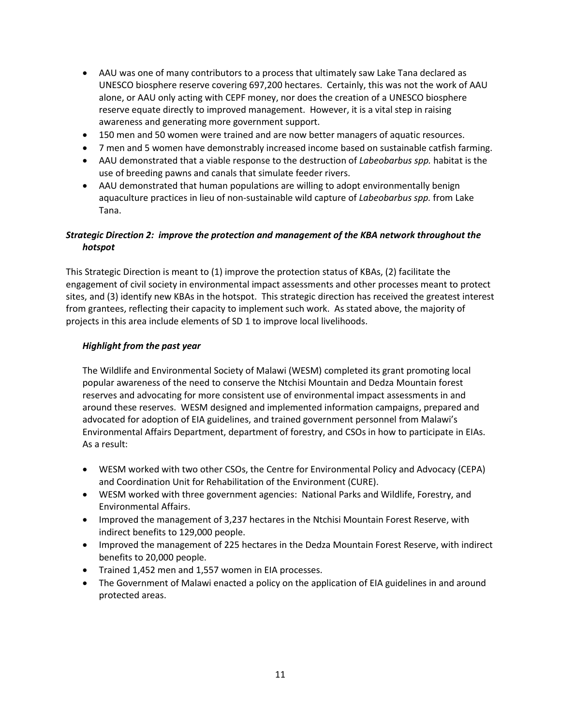- AAU was one of many contributors to a process that ultimately saw Lake Tana declared as UNESCO biosphere reserve covering 697,200 hectares. Certainly, this was not the work of AAU alone, or AAU only acting with CEPF money, nor does the creation of a UNESCO biosphere reserve equate directly to improved management. However, it is a vital step in raising awareness and generating more government support.
- 150 men and 50 women were trained and are now better managers of aquatic resources.
- 7 men and 5 women have demonstrably increased income based on sustainable catfish farming.
- AAU demonstrated that a viable response to the destruction of *Labeobarbus spp.* habitat is the use of breeding pawns and canals that simulate feeder rivers.
- AAU demonstrated that human populations are willing to adopt environmentally benign aquaculture practices in lieu of non-sustainable wild capture of *Labeobarbus spp.* from Lake Tana.

# *Strategic Direction 2: improve the protection and management of the KBA network throughout the hotspot*

This Strategic Direction is meant to (1) improve the protection status of KBAs, (2) facilitate the engagement of civil society in environmental impact assessments and other processes meant to protect sites, and (3) identify new KBAs in the hotspot. This strategic direction has received the greatest interest from grantees, reflecting their capacity to implement such work. As stated above, the majority of projects in this area include elements of SD 1 to improve local livelihoods.

### *Highlight from the past year*

The Wildlife and Environmental Society of Malawi (WESM) completed its grant promoting local popular awareness of the need to conserve the Ntchisi Mountain and Dedza Mountain forest reserves and advocating for more consistent use of environmental impact assessments in and around these reserves. WESM designed and implemented information campaigns, prepared and advocated for adoption of EIA guidelines, and trained government personnel from Malawi's Environmental Affairs Department, department of forestry, and CSOs in how to participate in EIAs. As a result:

- WESM worked with two other CSOs, the Centre for Environmental Policy and Advocacy (CEPA) and Coordination Unit for Rehabilitation of the Environment (CURE).
- WESM worked with three government agencies: National Parks and Wildlife, Forestry, and Environmental Affairs.
- Improved the management of 3,237 hectares in the Ntchisi Mountain Forest Reserve, with indirect benefits to 129,000 people.
- Improved the management of 225 hectares in the Dedza Mountain Forest Reserve, with indirect benefits to 20,000 people.
- Trained 1,452 men and 1,557 women in EIA processes.
- The Government of Malawi enacted a policy on the application of EIA guidelines in and around protected areas.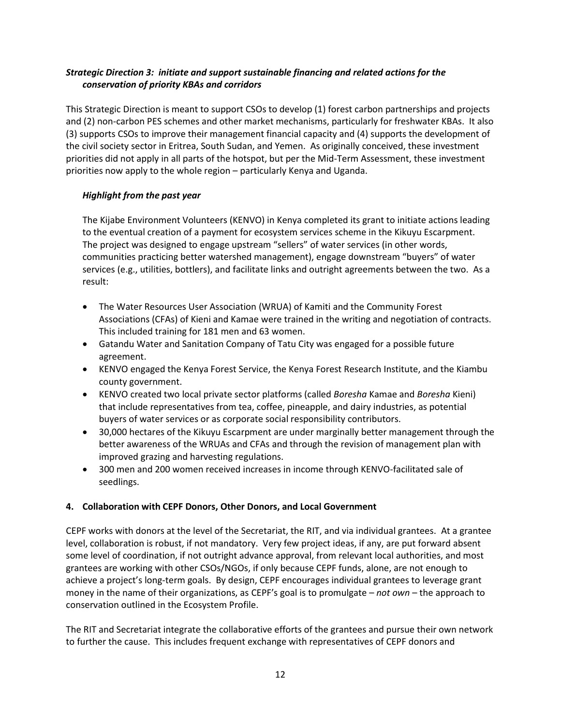# *Strategic Direction 3: initiate and support sustainable financing and related actions for the conservation of priority KBAs and corridors*

This Strategic Direction is meant to support CSOs to develop (1) forest carbon partnerships and projects and (2) non-carbon PES schemes and other market mechanisms, particularly for freshwater KBAs. It also (3) supports CSOs to improve their management financial capacity and (4) supports the development of the civil society sector in Eritrea, South Sudan, and Yemen. As originally conceived, these investment priorities did not apply in all parts of the hotspot, but per the Mid-Term Assessment, these investment priorities now apply to the whole region – particularly Kenya and Uganda.

## *Highlight from the past year*

The Kijabe Environment Volunteers (KENVO) in Kenya completed its grant to initiate actions leading to the eventual creation of a payment for ecosystem services scheme in the Kikuyu Escarpment. The project was designed to engage upstream "sellers" of water services (in other words, communities practicing better watershed management), engage downstream "buyers" of water services (e.g., utilities, bottlers), and facilitate links and outright agreements between the two. As a result:

- The Water Resources User Association (WRUA) of Kamiti and the Community Forest Associations (CFAs) of Kieni and Kamae were trained in the writing and negotiation of contracts. This included training for 181 men and 63 women.
- Gatandu Water and Sanitation Company of Tatu City was engaged for a possible future agreement.
- KENVO engaged the Kenya Forest Service, the Kenya Forest Research Institute, and the Kiambu county government.
- KENVO created two local private sector platforms (called *Boresha* Kamae and *Boresha* Kieni) that include representatives from tea, coffee, pineapple, and dairy industries, as potential buyers of water services or as corporate social responsibility contributors.
- 30,000 hectares of the Kikuyu Escarpment are under marginally better management through the better awareness of the WRUAs and CFAs and through the revision of management plan with improved grazing and harvesting regulations.
- 300 men and 200 women received increases in income through KENVO-facilitated sale of seedlings.

## **4. Collaboration with CEPF Donors, Other Donors, and Local Government**

CEPF works with donors at the level of the Secretariat, the RIT, and via individual grantees. At a grantee level, collaboration is robust, if not mandatory. Very few project ideas, if any, are put forward absent some level of coordination, if not outright advance approval, from relevant local authorities, and most grantees are working with other CSOs/NGOs, if only because CEPF funds, alone, are not enough to achieve a project's long-term goals. By design, CEPF encourages individual grantees to leverage grant money in the name of their organizations, as CEPF's goal is to promulgate – *not own* – the approach to conservation outlined in the Ecosystem Profile.

The RIT and Secretariat integrate the collaborative efforts of the grantees and pursue their own network to further the cause. This includes frequent exchange with representatives of CEPF donors and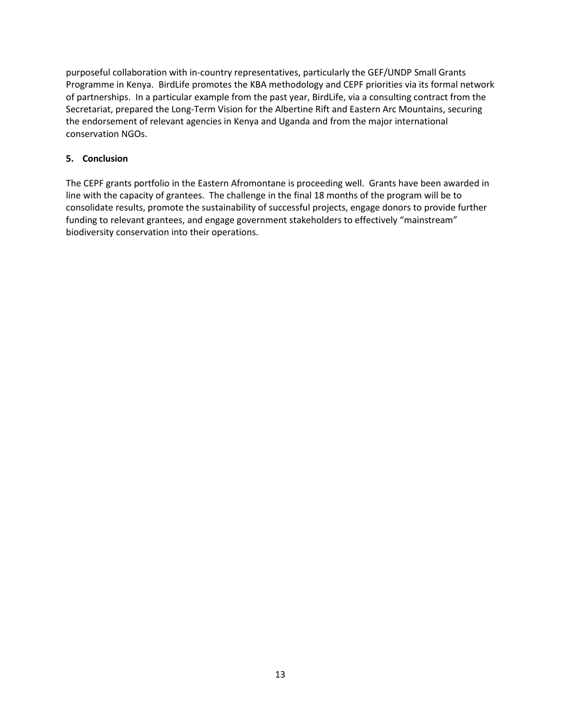purposeful collaboration with in-country representatives, particularly the GEF/UNDP Small Grants Programme in Kenya. BirdLife promotes the KBA methodology and CEPF priorities via its formal network of partnerships. In a particular example from the past year, BirdLife, via a consulting contract from the Secretariat, prepared the Long-Term Vision for the Albertine Rift and Eastern Arc Mountains, securing the endorsement of relevant agencies in Kenya and Uganda and from the major international conservation NGOs.

## **5. Conclusion**

The CEPF grants portfolio in the Eastern Afromontane is proceeding well. Grants have been awarded in line with the capacity of grantees. The challenge in the final 18 months of the program will be to consolidate results, promote the sustainability of successful projects, engage donors to provide further funding to relevant grantees, and engage government stakeholders to effectively "mainstream" biodiversity conservation into their operations.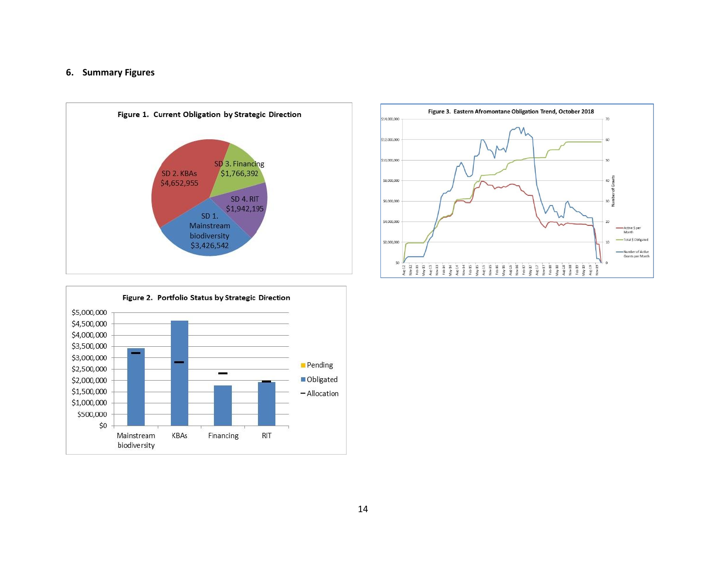#### **6. Summary Figures**





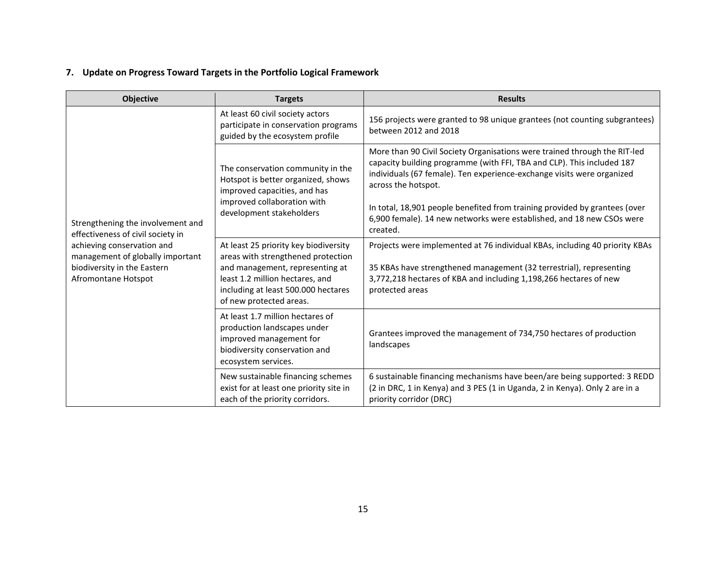# **7. Update on Progress Toward Targets in the Portfolio Logical Framework**

| <b>Objective</b>                                                                                                     | <b>Targets</b>                                                                                                                                                                                                                                                                    | <b>Results</b>                                                                                                                                                                                                                                       |
|----------------------------------------------------------------------------------------------------------------------|-----------------------------------------------------------------------------------------------------------------------------------------------------------------------------------------------------------------------------------------------------------------------------------|------------------------------------------------------------------------------------------------------------------------------------------------------------------------------------------------------------------------------------------------------|
|                                                                                                                      | At least 60 civil society actors<br>participate in conservation programs<br>guided by the ecosystem profile<br>The conservation community in the<br>Hotspot is better organized, shows<br>improved capacities, and has<br>improved collaboration with<br>development stakeholders | 156 projects were granted to 98 unique grantees (not counting subgrantees)<br>between 2012 and 2018                                                                                                                                                  |
|                                                                                                                      |                                                                                                                                                                                                                                                                                   | More than 90 Civil Society Organisations were trained through the RIT-led<br>capacity building programme (with FFI, TBA and CLP). This included 187<br>individuals (67 female). Ten experience-exchange visits were organized<br>across the hotspot. |
| Strengthening the involvement and<br>effectiveness of civil society in                                               |                                                                                                                                                                                                                                                                                   | In total, 18,901 people benefited from training provided by grantees (over<br>6,900 female). 14 new networks were established, and 18 new CSOs were<br>created.                                                                                      |
| achieving conservation and<br>management of globally important<br>biodiversity in the Eastern<br>Afromontane Hotspot | At least 25 priority key biodiversity<br>areas with strengthened protection<br>and management, representing at<br>least 1.2 million hectares, and<br>including at least 500.000 hectares<br>of new protected areas.                                                               | Projects were implemented at 76 individual KBAs, including 40 priority KBAs<br>35 KBAs have strengthened management (32 terrestrial), representing<br>3,772,218 hectares of KBA and including 1,198,266 hectares of new<br>protected areas           |
|                                                                                                                      | At least 1.7 million hectares of<br>production landscapes under<br>improved management for<br>biodiversity conservation and<br>ecosystem services.                                                                                                                                | Grantees improved the management of 734,750 hectares of production<br>landscapes                                                                                                                                                                     |
|                                                                                                                      | New sustainable financing schemes<br>exist for at least one priority site in<br>each of the priority corridors.                                                                                                                                                                   | 6 sustainable financing mechanisms have been/are being supported: 3 REDD<br>(2 in DRC, 1 in Kenya) and 3 PES (1 in Uganda, 2 in Kenya). Only 2 are in a<br>priority corridor (DRC)                                                                   |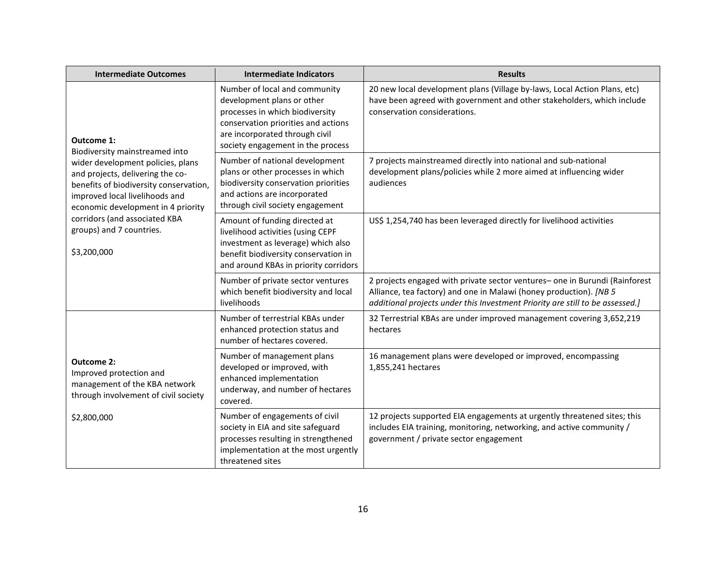| <b>Intermediate Outcomes</b>                                                                                                                                                            | <b>Intermediate Indicators</b>                                                                                                                                                                               | <b>Results</b>                                                                                                                                                                                                                     |
|-----------------------------------------------------------------------------------------------------------------------------------------------------------------------------------------|--------------------------------------------------------------------------------------------------------------------------------------------------------------------------------------------------------------|------------------------------------------------------------------------------------------------------------------------------------------------------------------------------------------------------------------------------------|
| Outcome 1:<br>Biodiversity mainstreamed into                                                                                                                                            | Number of local and community<br>development plans or other<br>processes in which biodiversity<br>conservation priorities and actions<br>are incorporated through civil<br>society engagement in the process | 20 new local development plans (Village by-laws, Local Action Plans, etc)<br>have been agreed with government and other stakeholders, which include<br>conservation considerations.                                                |
| wider development policies, plans<br>and projects, delivering the co-<br>benefits of biodiversity conservation,<br>improved local livelihoods and<br>economic development in 4 priority | Number of national development<br>plans or other processes in which<br>biodiversity conservation priorities<br>and actions are incorporated<br>through civil society engagement                              | 7 projects mainstreamed directly into national and sub-national<br>development plans/policies while 2 more aimed at influencing wider<br>audiences                                                                                 |
| corridors (and associated KBA<br>groups) and 7 countries.<br>\$3,200,000                                                                                                                | Amount of funding directed at<br>livelihood activities (using CEPF<br>investment as leverage) which also<br>benefit biodiversity conservation in<br>and around KBAs in priority corridors                    | US\$ 1,254,740 has been leveraged directly for livelihood activities                                                                                                                                                               |
|                                                                                                                                                                                         | Number of private sector ventures<br>which benefit biodiversity and local<br>livelihoods                                                                                                                     | 2 projects engaged with private sector ventures- one in Burundi (Rainforest<br>Alliance, tea factory) and one in Malawi (honey production). [NB 5<br>additional projects under this Investment Priority are still to be assessed.] |
|                                                                                                                                                                                         | Number of terrestrial KBAs under<br>enhanced protection status and<br>number of hectares covered.                                                                                                            | 32 Terrestrial KBAs are under improved management covering 3,652,219<br>hectares                                                                                                                                                   |
| <b>Outcome 2:</b><br>Improved protection and<br>management of the KBA network<br>through involvement of civil society                                                                   | Number of management plans<br>developed or improved, with<br>enhanced implementation<br>underway, and number of hectares<br>covered.                                                                         | 16 management plans were developed or improved, encompassing<br>1,855,241 hectares                                                                                                                                                 |
| \$2,800,000                                                                                                                                                                             | Number of engagements of civil<br>society in EIA and site safeguard<br>processes resulting in strengthened<br>implementation at the most urgently<br>threatened sites                                        | 12 projects supported EIA engagements at urgently threatened sites; this<br>includes EIA training, monitoring, networking, and active community /<br>government / private sector engagement                                        |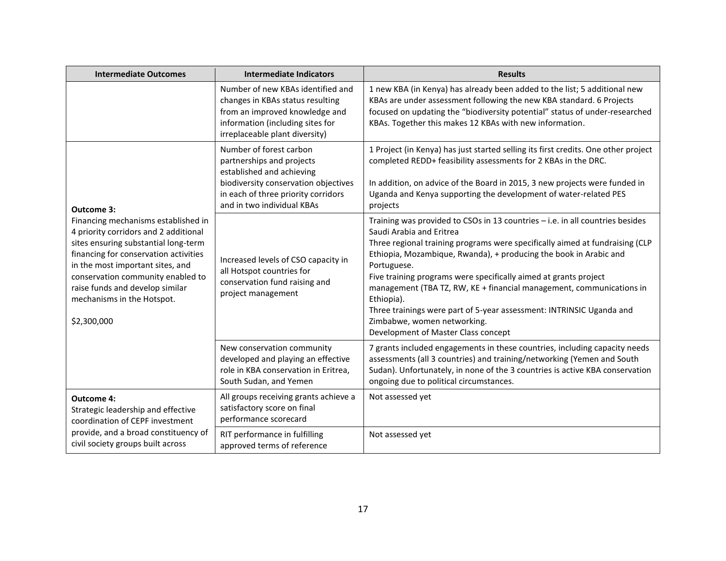| <b>Intermediate Outcomes</b>                                                                                                                                                                                                                                                                                           | <b>Intermediate Indicators</b>                                                                                                                                                                 | <b>Results</b>                                                                                                                                                                                                                                                                                                                                                                                                                                                                                                                                                                        |
|------------------------------------------------------------------------------------------------------------------------------------------------------------------------------------------------------------------------------------------------------------------------------------------------------------------------|------------------------------------------------------------------------------------------------------------------------------------------------------------------------------------------------|---------------------------------------------------------------------------------------------------------------------------------------------------------------------------------------------------------------------------------------------------------------------------------------------------------------------------------------------------------------------------------------------------------------------------------------------------------------------------------------------------------------------------------------------------------------------------------------|
|                                                                                                                                                                                                                                                                                                                        | Number of new KBAs identified and<br>changes in KBAs status resulting<br>from an improved knowledge and<br>information (including sites for<br>irreplaceable plant diversity)                  | 1 new KBA (in Kenya) has already been added to the list; 5 additional new<br>KBAs are under assessment following the new KBA standard. 6 Projects<br>focused on updating the "biodiversity potential" status of under-researched<br>KBAs. Together this makes 12 KBAs with new information.                                                                                                                                                                                                                                                                                           |
| <b>Outcome 3:</b>                                                                                                                                                                                                                                                                                                      | Number of forest carbon<br>partnerships and projects<br>established and achieving<br>biodiversity conservation objectives<br>in each of three priority corridors<br>and in two individual KBAs | 1 Project (in Kenya) has just started selling its first credits. One other project<br>completed REDD+ feasibility assessments for 2 KBAs in the DRC.<br>In addition, on advice of the Board in 2015, 3 new projects were funded in<br>Uganda and Kenya supporting the development of water-related PES<br>projects                                                                                                                                                                                                                                                                    |
| Financing mechanisms established in<br>4 priority corridors and 2 additional<br>sites ensuring substantial long-term<br>financing for conservation activities<br>in the most important sites, and<br>conservation community enabled to<br>raise funds and develop similar<br>mechanisms in the Hotspot.<br>\$2,300,000 | Increased levels of CSO capacity in<br>all Hotspot countries for<br>conservation fund raising and<br>project management                                                                        | Training was provided to CSOs in 13 countries - i.e. in all countries besides<br>Saudi Arabia and Eritrea<br>Three regional training programs were specifically aimed at fundraising (CLP<br>Ethiopia, Mozambique, Rwanda), + producing the book in Arabic and<br>Portuguese.<br>Five training programs were specifically aimed at grants project<br>management (TBA TZ, RW, KE + financial management, communications in<br>Ethiopia).<br>Three trainings were part of 5-year assessment: INTRINSIC Uganda and<br>Zimbabwe, women networking.<br>Development of Master Class concept |
|                                                                                                                                                                                                                                                                                                                        | New conservation community<br>developed and playing an effective<br>role in KBA conservation in Eritrea,<br>South Sudan, and Yemen                                                             | 7 grants included engagements in these countries, including capacity needs<br>assessments (all 3 countries) and training/networking (Yemen and South<br>Sudan). Unfortunately, in none of the 3 countries is active KBA conservation<br>ongoing due to political circumstances.                                                                                                                                                                                                                                                                                                       |
| <b>Outcome 4:</b><br>Strategic leadership and effective<br>coordination of CEPF investment                                                                                                                                                                                                                             | All groups receiving grants achieve a<br>satisfactory score on final<br>performance scorecard                                                                                                  | Not assessed yet                                                                                                                                                                                                                                                                                                                                                                                                                                                                                                                                                                      |
| provide, and a broad constituency of<br>civil society groups built across                                                                                                                                                                                                                                              | RIT performance in fulfilling<br>approved terms of reference                                                                                                                                   | Not assessed yet                                                                                                                                                                                                                                                                                                                                                                                                                                                                                                                                                                      |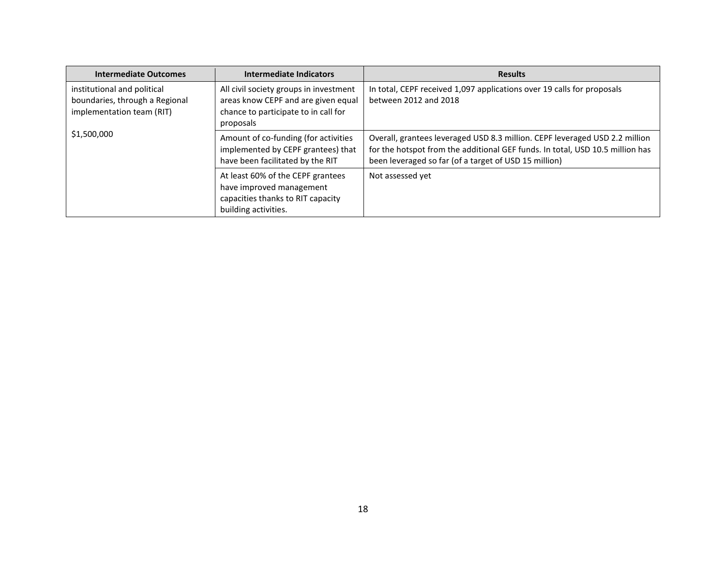| <b>Intermediate Outcomes</b>                                                               | Intermediate Indicators                                                                                                            | <b>Results</b>                                                                                                                                                                                                        |
|--------------------------------------------------------------------------------------------|------------------------------------------------------------------------------------------------------------------------------------|-----------------------------------------------------------------------------------------------------------------------------------------------------------------------------------------------------------------------|
| institutional and political<br>boundaries, through a Regional<br>implementation team (RIT) | All civil society groups in investment<br>areas know CEPF and are given equal<br>chance to participate to in call for<br>proposals | In total, CEPF received 1,097 applications over 19 calls for proposals<br>between 2012 and 2018                                                                                                                       |
| \$1,500,000                                                                                | Amount of co-funding (for activities<br>implemented by CEPF grantees) that<br>have been facilitated by the RIT                     | Overall, grantees leveraged USD 8.3 million. CEPF leveraged USD 2.2 million<br>for the hotspot from the additional GEF funds. In total, USD 10.5 million has<br>been leveraged so far (of a target of USD 15 million) |
|                                                                                            | At least 60% of the CEPF grantees<br>have improved management<br>capacities thanks to RIT capacity<br>building activities.         | Not assessed yet                                                                                                                                                                                                      |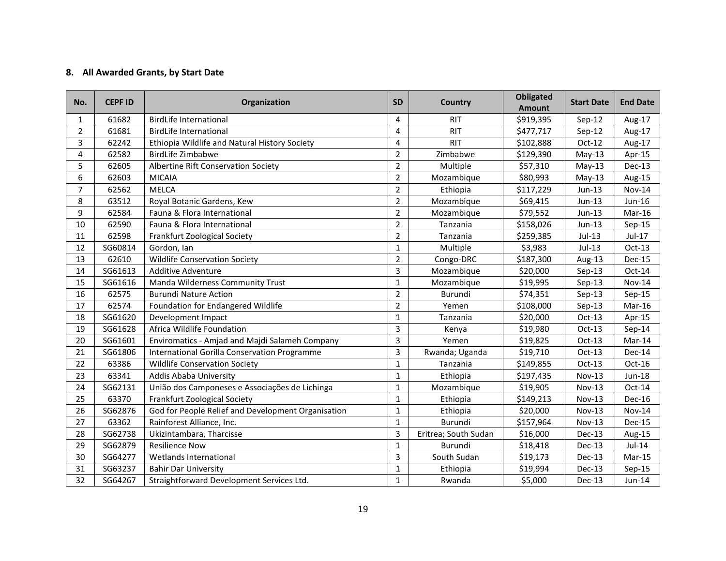# **8. All Awarded Grants, by Start Date**

| No.            | <b>CEPF ID</b> | Organization                                       | <b>SD</b>      | Country              | <b>Obligated</b><br><b>Amount</b> | <b>Start Date</b> | <b>End Date</b> |
|----------------|----------------|----------------------------------------------------|----------------|----------------------|-----------------------------------|-------------------|-----------------|
| $\mathbf{1}$   | 61682          | <b>BirdLife International</b>                      | 4              | <b>RIT</b>           | \$919,395                         | $Sep-12$          | Aug-17          |
| $\overline{2}$ | 61681          | <b>BirdLife International</b>                      | 4              | <b>RIT</b>           | \$477,717                         | $Sep-12$          | Aug-17          |
| 3              | 62242          | Ethiopia Wildlife and Natural History Society      | 4              | <b>RIT</b>           | \$102,888                         | $Oct-12$          | Aug-17          |
| 4              | 62582          | <b>BirdLife Zimbabwe</b>                           | $\overline{2}$ | Zimbabwe             | \$129,390                         | $May-13$          | Apr-15          |
| 5              | 62605          | Albertine Rift Conservation Society                | $\overline{2}$ | Multiple             | \$57,310                          | $May-13$          | Dec-13          |
| 6              | 62603          | <b>MICAIA</b>                                      | $\overline{2}$ | Mozambique           | \$80,993                          | $May-13$          | Aug-15          |
| $\overline{7}$ | 62562          | <b>MELCA</b>                                       | $\overline{2}$ | Ethiopia             | \$117,229                         | Jun-13            | <b>Nov-14</b>   |
| 8              | 63512          | Royal Botanic Gardens, Kew                         | $\overline{2}$ | Mozambique           | \$69,415                          | Jun-13            | $Jun-16$        |
| 9              | 62584          | Fauna & Flora International                        | $\overline{2}$ | Mozambique           | \$79,552                          | Jun-13            | Mar-16          |
| 10             | 62590          | Fauna & Flora International                        | $\overline{2}$ | Tanzania             | \$158,026                         | $Jun-13$          | $Sep-15$        |
| 11             | 62598          | Frankfurt Zoological Society                       | 2              | Tanzania             | \$259,385                         | Jul-13            | Jul-17          |
| 12             | SG60814        | Gordon, Ian                                        | $\mathbf{1}$   | Multiple             | \$3,983                           | $Jul-13$          | $Oct-13$        |
| 13             | 62610          | <b>Wildlife Conservation Society</b>               | $\overline{2}$ | Congo-DRC            | \$187,300                         | Aug-13            | Dec-15          |
| 14             | SG61613        | <b>Additive Adventure</b>                          | 3              | Mozambique           | \$20,000                          | $Sep-13$          | $Oct-14$        |
| 15             | SG61616        | Manda Wilderness Community Trust                   | $\mathbf{1}$   | Mozambique           | \$19,995                          | $Sep-13$          | <b>Nov-14</b>   |
| 16             | 62575          | <b>Burundi Nature Action</b>                       | 2              | Burundi              | \$74,351                          | Sep-13            | Sep-15          |
| 17             | 62574          | Foundation for Endangered Wildlife                 | $\overline{2}$ | Yemen                | \$108,000                         | $Sep-13$          | Mar-16          |
| 18             | SG61620        | Development Impact                                 | $\mathbf{1}$   | Tanzania             | \$20,000                          | $Oct-13$          | Apr-15          |
| 19             | SG61628        | Africa Wildlife Foundation                         | 3              | Kenya                | \$19,980                          | $Oct-13$          | $Sep-14$        |
| 20             | SG61601        | Enviromatics - Amjad and Majdi Salameh Company     | 3              | Yemen                | \$19,825                          | $Oct-13$          | Mar-14          |
| 21             | SG61806        | International Gorilla Conservation Programme       | 3              | Rwanda; Uganda       | \$19,710                          | $Oct-13$          | Dec-14          |
| 22             | 63386          | <b>Wildlife Conservation Society</b>               | $\mathbf{1}$   | Tanzania             | \$149,855                         | $Oct-13$          | Oct-16          |
| 23             | 63341          | Addis Ababa University                             | $\mathbf{1}$   | Ethiopia             | \$197,435                         | <b>Nov-13</b>     | Jun-18          |
| 24             | SG62131        | União dos Camponeses e Associações de Lichinga     | $\mathbf{1}$   | Mozambique           | \$19,905                          | $Nov-13$          | $Oct-14$        |
| 25             | 63370          | Frankfurt Zoological Society                       | 1              | Ethiopia             | \$149,213                         | <b>Nov-13</b>     | Dec-16          |
| 26             | SG62876        | God for People Relief and Development Organisation | $\mathbf{1}$   | Ethiopia             | \$20,000                          | <b>Nov-13</b>     | <b>Nov-14</b>   |
| 27             | 63362          | Rainforest Alliance, Inc.                          | $\mathbf{1}$   | Burundi              | \$157,964                         | <b>Nov-13</b>     | Dec-15          |
| 28             | SG62738        | Ukizintambara, Tharcisse                           | 3              | Eritrea; South Sudan | \$16,000                          | <b>Dec-13</b>     | Aug-15          |
| 29             | SG62879        | <b>Resilience Now</b>                              | 1              | Burundi              | \$18,418                          | $Dec-13$          | $Jul-14$        |
| 30             | SG64277        | Wetlands International                             | 3              | South Sudan          | \$19,173                          | <b>Dec-13</b>     | $Mar-15$        |
| 31             | SG63237        | <b>Bahir Dar University</b>                        | $\mathbf{1}$   | Ethiopia             | \$19,994                          | Dec-13            | $Sep-15$        |
| 32             | SG64267        | Straightforward Development Services Ltd.          | $\mathbf{1}$   | Rwanda               | \$5,000                           | $Dec-13$          | Jun-14          |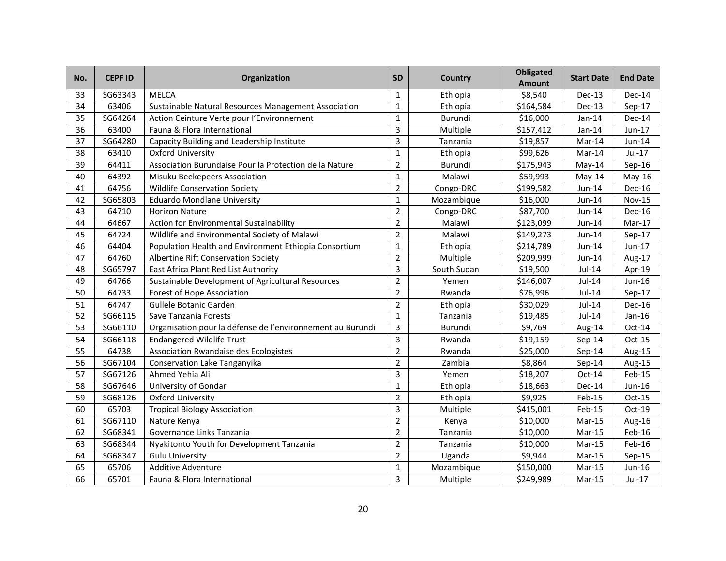| No. | <b>CEPF ID</b> | Organization                                               | <b>SD</b>      | Country     | <b>Obligated</b><br><b>Amount</b> | <b>Start Date</b> | <b>End Date</b> |
|-----|----------------|------------------------------------------------------------|----------------|-------------|-----------------------------------|-------------------|-----------------|
| 33  | SG63343        | <b>MELCA</b>                                               | $\mathbf{1}$   | Ethiopia    | \$8,540                           | Dec-13            | Dec-14          |
| 34  | 63406          | Sustainable Natural Resources Management Association       | $\mathbf{1}$   | Ethiopia    | \$164,584                         | Dec-13            | $Sep-17$        |
| 35  | SG64264        | Action Ceinture Verte pour l'Environnement                 | $\mathbf{1}$   | Burundi     | \$16,000                          | $Jan-14$          | Dec-14          |
| 36  | 63400          | Fauna & Flora International                                | 3              | Multiple    | \$157,412                         | Jan-14            | Jun-17          |
| 37  | SG64280        | Capacity Building and Leadership Institute                 | 3              | Tanzania    | \$19,857                          | Mar-14            | Jun-14          |
| 38  | 63410          | <b>Oxford University</b>                                   | $\mathbf{1}$   | Ethiopia    | \$99,626                          | Mar-14            | Jul-17          |
| 39  | 64411          | Association Burundaise Pour la Protection de la Nature     | $\overline{2}$ | Burundi     | \$175,943                         | May-14            | Sep-16          |
| 40  | 64392          | Misuku Beekepeers Association                              | $\mathbf{1}$   | Malawi      | \$59,993                          | $May-14$          | May-16          |
| 41  | 64756          | <b>Wildlife Conservation Society</b>                       | $\overline{2}$ | Congo-DRC   | \$199,582                         | Jun-14            | Dec-16          |
| 42  | SG65803        | <b>Eduardo Mondlane University</b>                         | $\mathbf{1}$   | Mozambique  | \$16,000                          | Jun-14            | <b>Nov-15</b>   |
| 43  | 64710          | <b>Horizon Nature</b>                                      | $\overline{2}$ | Congo-DRC   | \$87,700                          | Jun-14            | Dec-16          |
| 44  | 64667          | Action for Environmental Sustainability                    | $\overline{2}$ | Malawi      | \$123,099                         | Jun-14            | Mar-17          |
| 45  | 64724          | Wildlife and Environmental Society of Malawi               | $\overline{2}$ | Malawi      | \$149,273                         | Jun-14            | $Sep-17$        |
| 46  | 64404          | Population Health and Environment Ethiopia Consortium      | $\mathbf{1}$   | Ethiopia    | \$214,789                         | Jun-14            | Jun-17          |
| 47  | 64760          | Albertine Rift Conservation Society                        | $\overline{2}$ | Multiple    | \$209,999                         | Jun-14            | Aug-17          |
| 48  | SG65797        | East Africa Plant Red List Authority                       | 3              | South Sudan | \$19,500                          | Jul-14            | Apr-19          |
| 49  | 64766          | Sustainable Development of Agricultural Resources          | $\overline{2}$ | Yemen       | \$146,007                         | $Jul-14$          | Jun-16          |
| 50  | 64733          | <b>Forest of Hope Association</b>                          | $\overline{2}$ | Rwanda      | \$76,996                          | $Jul-14$          | Sep-17          |
| 51  | 64747          | Gullele Botanic Garden                                     | 2              | Ethiopia    | \$30,029                          | Jul-14            | Dec-16          |
| 52  | SG66115        | Save Tanzania Forests                                      | $\mathbf{1}$   | Tanzania    | \$19,485                          | Jul-14            | $Jan-16$        |
| 53  | SG66110        | Organisation pour la défense de l'environnement au Burundi | 3              | Burundi     | \$9,769                           | Aug-14            | $Oct-14$        |
| 54  | SG66118        | <b>Endangered Wildlife Trust</b>                           | 3              | Rwanda      | \$19,159                          | Sep-14            | $Oct-15$        |
| 55  | 64738          | <b>Association Rwandaise des Ecologistes</b>               | $\overline{2}$ | Rwanda      | \$25,000                          | Sep-14            | Aug-15          |
| 56  | SG67104        | Conservation Lake Tanganyika                               | $\overline{2}$ | Zambia      | \$8,864                           | Sep-14            | Aug-15          |
| 57  | SG67126        | Ahmed Yehia Ali                                            | 3              | Yemen       | \$18,207                          | $Oct-14$          | Feb-15          |
| 58  | SG67646        | University of Gondar                                       | $\mathbf{1}$   | Ethiopia    | \$18,663                          | Dec-14            | Jun-16          |
| 59  | SG68126        | <b>Oxford University</b>                                   | $\overline{2}$ | Ethiopia    | \$9,925                           | Feb-15            | Oct-15          |
| 60  | 65703          | <b>Tropical Biology Association</b>                        | 3              | Multiple    | \$415,001                         | Feb-15            | Oct-19          |
| 61  | SG67110        | Nature Kenya                                               | $\overline{2}$ | Kenya       | \$10,000                          | $Mar-15$          | Aug-16          |
| 62  | SG68341        | Governance Links Tanzania                                  | $\overline{2}$ | Tanzania    | \$10,000                          | Mar-15            | Feb-16          |
| 63  | SG68344        | Nyakitonto Youth for Development Tanzania                  | $\overline{2}$ | Tanzania    | \$10,000                          | Mar-15            | Feb-16          |
| 64  | SG68347        | <b>Gulu University</b>                                     | $\overline{2}$ | Uganda      | \$9,944                           | Mar-15            | $Sep-15$        |
| 65  | 65706          | <b>Additive Adventure</b>                                  | $\mathbf{1}$   | Mozambique  | \$150,000                         | Mar-15            | Jun-16          |
| 66  | 65701          | Fauna & Flora International                                | 3              | Multiple    | \$249,989                         | $Mar-15$          | $Jul-17$        |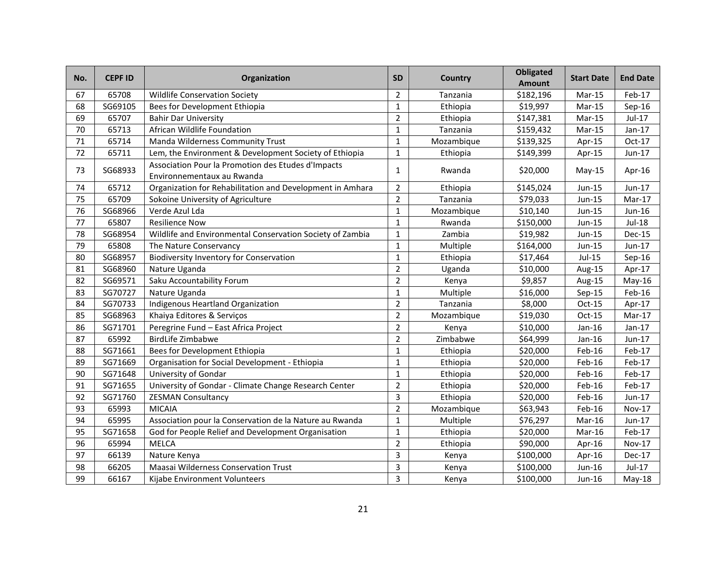| No. | <b>CEPF ID</b> | Organization                                                                     | <b>SD</b>      | Country    | <b>Obligated</b><br><b>Amount</b> | <b>Start Date</b> | <b>End Date</b> |
|-----|----------------|----------------------------------------------------------------------------------|----------------|------------|-----------------------------------|-------------------|-----------------|
| 67  | 65708          | <b>Wildlife Conservation Society</b>                                             | $\overline{2}$ | Tanzania   | \$182,196                         | Mar-15            | Feb-17          |
| 68  | SG69105        | Bees for Development Ethiopia                                                    | $\mathbf{1}$   | Ethiopia   | \$19,997                          | Mar-15            | $Sep-16$        |
| 69  | 65707          | <b>Bahir Dar University</b>                                                      | $\overline{2}$ | Ethiopia   | \$147,381                         | Mar-15            | Jul-17          |
| 70  | 65713          | African Wildlife Foundation                                                      | $\mathbf{1}$   | Tanzania   | \$159,432                         | Mar-15            | $Jan-17$        |
| 71  | 65714          | Manda Wilderness Community Trust                                                 | $\mathbf{1}$   | Mozambique | \$139,325                         | Apr-15            | Oct-17          |
| 72  | 65711          | Lem, the Environment & Development Society of Ethiopia                           | $\mathbf{1}$   | Ethiopia   | \$149,399                         | Apr-15            | Jun-17          |
| 73  | SG68933        | Association Pour la Promotion des Etudes d'Impacts<br>Environnementaux au Rwanda | $\mathbf{1}$   | Rwanda     | \$20,000                          | $May-15$          | Apr-16          |
| 74  | 65712          | Organization for Rehabilitation and Development in Amhara                        | $\overline{2}$ | Ethiopia   | \$145,024                         | Jun-15            | Jun-17          |
| 75  | 65709          | Sokoine University of Agriculture                                                | $\overline{2}$ | Tanzania   | \$79,033                          | Jun-15            | Mar-17          |
| 76  | SG68966        | Verde Azul Lda                                                                   | $\mathbf{1}$   | Mozambique | \$10,140                          | Jun-15            | $Jun-16$        |
| 77  | 65807          | <b>Resilience Now</b>                                                            | $\mathbf{1}$   | Rwanda     | \$150,000                         | Jun-15            | <b>Jul-18</b>   |
| 78  | SG68954        | Wildlife and Environmental Conservation Society of Zambia                        | $\mathbf{1}$   | Zambia     | \$19,982                          | Jun-15            | <b>Dec-15</b>   |
| 79  | 65808          | The Nature Conservancy                                                           | $\mathbf{1}$   | Multiple   | \$164,000                         | Jun-15            | Jun-17          |
| 80  | SG68957        | <b>Biodiversity Inventory for Conservation</b>                                   | $\mathbf{1}$   | Ethiopia   | \$17,464                          | $Jul-15$          | Sep-16          |
| 81  | SG68960        | Nature Uganda                                                                    | $\overline{2}$ | Uganda     | \$10,000                          | Aug-15            | Apr-17          |
| 82  | SG69571        | Saku Accountability Forum                                                        | $\overline{2}$ | Kenya      | \$9,857                           | Aug-15            | $May-16$        |
| 83  | SG70727        | Nature Uganda                                                                    | $\mathbf{1}$   | Multiple   | \$16,000                          | Sep-15            | $Feb-16$        |
| 84  | SG70733        | Indigenous Heartland Organization                                                | $\overline{2}$ | Tanzania   | \$8,000                           | $Oct-15$          | Apr-17          |
| 85  | SG68963        | Khaiya Editores & Serviços                                                       | $\overline{2}$ | Mozambique | \$19,030                          | $Oct-15$          | Mar-17          |
| 86  | SG71701        | Peregrine Fund - East Africa Project                                             | $\overline{2}$ | Kenya      | \$10,000                          | Jan-16            | Jan-17          |
| 87  | 65992          | <b>BirdLife Zimbabwe</b>                                                         | $\overline{2}$ | Zimbabwe   | \$64,999                          | Jan-16            | Jun-17          |
| 88  | SG71661        | Bees for Development Ethiopia                                                    | $\mathbf{1}$   | Ethiopia   | \$20,000                          | Feb-16            | Feb-17          |
| 89  | SG71669        | Organisation for Social Development - Ethiopia                                   | $\mathbf{1}$   | Ethiopia   | \$20,000                          | Feb-16            | Feb-17          |
| 90  | SG71648        | University of Gondar                                                             | $\mathbf{1}$   | Ethiopia   | \$20,000                          | Feb-16            | Feb-17          |
| 91  | SG71655        | University of Gondar - Climate Change Research Center                            | $\overline{2}$ | Ethiopia   | \$20,000                          | Feb-16            | Feb-17          |
| 92  | SG71760        | <b>ZESMAN Consultancy</b>                                                        | 3              | Ethiopia   | \$20,000                          | Feb-16            | Jun-17          |
| 93  | 65993          | <b>MICAIA</b>                                                                    | $\overline{2}$ | Mozambique | \$63,943                          | Feb-16            | <b>Nov-17</b>   |
| 94  | 65995          | Association pour la Conservation de la Nature au Rwanda                          | $\mathbf{1}$   | Multiple   | \$76,297                          | Mar-16            | Jun-17          |
| 95  | SG71658        | God for People Relief and Development Organisation                               | $\mathbf{1}$   | Ethiopia   | \$20,000                          | Mar-16            | Feb-17          |
| 96  | 65994          | <b>MELCA</b>                                                                     | $\overline{2}$ | Ethiopia   | \$90,000                          | Apr-16            | Nov-17          |
| 97  | 66139          | Nature Kenya                                                                     | 3              | Kenya      | \$100,000                         | Apr-16            | Dec-17          |
| 98  | 66205          | Maasai Wilderness Conservation Trust                                             | 3              | Kenya      | \$100,000                         | Jun-16            | Jul-17          |
| 99  | 66167          | Kijabe Environment Volunteers                                                    | 3              | Kenya      | \$100,000                         | Jun-16            | $May-18$        |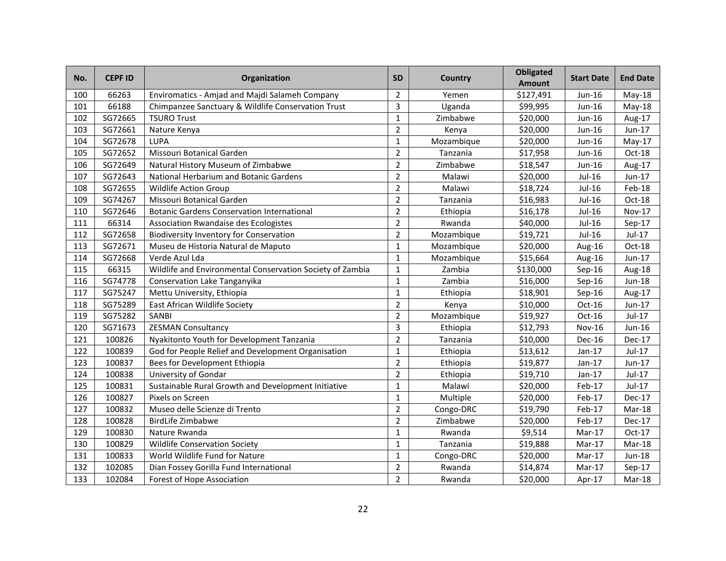| No. | <b>CEPF ID</b> | Organization                                              | <b>SD</b>      | Country    | <b>Obligated</b><br><b>Amount</b> | <b>Start Date</b> | <b>End Date</b> |
|-----|----------------|-----------------------------------------------------------|----------------|------------|-----------------------------------|-------------------|-----------------|
| 100 | 66263          | Enviromatics - Amjad and Majdi Salameh Company            | $\overline{2}$ | Yemen      | \$127,491                         | Jun-16            | $May-18$        |
| 101 | 66188          | Chimpanzee Sanctuary & Wildlife Conservation Trust        | 3              | Uganda     | \$99,995                          | Jun-16            | May-18          |
| 102 | SG72665        | <b>TSURO Trust</b>                                        | $\mathbf{1}$   | Zimbabwe   | \$20,000                          | Jun-16            | Aug-17          |
| 103 | SG72661        | Nature Kenya                                              | $\overline{2}$ | Kenya      | \$20,000                          | Jun-16            | Jun-17          |
| 104 | SG72678        | <b>LUPA</b>                                               | $\mathbf{1}$   | Mozambique | \$20,000                          | Jun-16            | $May-17$        |
| 105 | SG72652        | Missouri Botanical Garden                                 | $\overline{2}$ | Tanzania   | \$17,958                          | Jun-16            | Oct-18          |
| 106 | SG72649        | Natural History Museum of Zimbabwe                        | $\overline{2}$ | Zimbabwe   | \$18,547                          | Jun-16            | Aug-17          |
| 107 | SG72643        | National Herbarium and Botanic Gardens                    | $\overline{2}$ | Malawi     | \$20,000                          | Jul-16            | Jun-17          |
| 108 | SG72655        | <b>Wildlife Action Group</b>                              | $\overline{2}$ | Malawi     | \$18,724                          | Jul-16            | Feb-18          |
| 109 | SG74267        | Missouri Botanical Garden                                 | $\overline{2}$ | Tanzania   | \$16,983                          | <b>Jul-16</b>     | Oct-18          |
| 110 | SG72646        | <b>Botanic Gardens Conservation International</b>         | $\overline{2}$ | Ethiopia   | \$16,178                          | Jul-16            | Nov-17          |
| 111 | 66314          | Association Rwandaise des Ecologistes                     | $\overline{2}$ | Rwanda     | \$40,000                          | Jul-16            | Sep-17          |
| 112 | SG72658        | <b>Biodiversity Inventory for Conservation</b>            | $\overline{2}$ | Mozambique | \$19,721                          | Jul-16            | Jul-17          |
| 113 | SG72671        | Museu de Historia Natural de Maputo                       | $\mathbf{1}$   | Mozambique | \$20,000                          | Aug-16            | $Oct-18$        |
| 114 | SG72668        | Verde Azul Lda                                            | $\mathbf{1}$   | Mozambique | \$15,664                          | Aug-16            | Jun-17          |
| 115 | 66315          | Wildlife and Environmental Conservation Society of Zambia | 1              | Zambia     | \$130,000                         | $Sep-16$          | Aug-18          |
| 116 | SG74778        | Conservation Lake Tanganyika                              | $\mathbf{1}$   | Zambia     | \$16,000                          | $Sep-16$          | <b>Jun-18</b>   |
| 117 | SG75247        | Mettu University, Ethiopia                                | $\mathbf{1}$   | Ethiopia   | \$18,901                          | $Sep-16$          | Aug-17          |
| 118 | SG75289        | East African Wildlife Society                             | $\overline{2}$ | Kenya      | \$10,000                          | Oct-16            | Jun-17          |
| 119 | SG75282        | SANBI                                                     | $\overline{2}$ | Mozambique | \$19,927                          | Oct-16            | Jul-17          |
| 120 | SG71673        | <b>ZESMAN Consultancy</b>                                 | 3              | Ethiopia   | \$12,793                          | <b>Nov-16</b>     | Jun-16          |
| 121 | 100826         | Nyakitonto Youth for Development Tanzania                 | $\overline{2}$ | Tanzania   | \$10,000                          | Dec-16            | Dec-17          |
| 122 | 100839         | God for People Relief and Development Organisation        | $\mathbf{1}$   | Ethiopia   | \$13,612                          | $Jan-17$          | Jul-17          |
| 123 | 100837         | Bees for Development Ethiopia                             | $\overline{2}$ | Ethiopia   | \$19,877                          | Jan-17            | Jun-17          |
| 124 | 100838         | University of Gondar                                      | $\overline{2}$ | Ethiopia   | \$19,710                          | Jan-17            | Jul-17          |
| 125 | 100831         | Sustainable Rural Growth and Development Initiative       | $\mathbf{1}$   | Malawi     | \$20,000                          | Feb-17            | Jul-17          |
| 126 | 100827         | Pixels on Screen                                          | $\mathbf{1}$   | Multiple   | \$20,000                          | Feb-17            | <b>Dec-17</b>   |
| 127 | 100832         | Museo delle Scienze di Trento                             | $\overline{2}$ | Congo-DRC  | \$19,790                          | Feb-17            | Mar-18          |
| 128 | 100828         | <b>BirdLife Zimbabwe</b>                                  | $\overline{2}$ | Zimbabwe   | \$20,000                          | Feb-17            | <b>Dec-17</b>   |
| 129 | 100830         | Nature Rwanda                                             | $\mathbf{1}$   | Rwanda     | \$9,514                           | Mar-17            | Oct-17          |
| 130 | 100829         | <b>Wildlife Conservation Society</b>                      | $\mathbf{1}$   | Tanzania   | \$19,888                          | Mar-17            | Mar-18          |
| 131 | 100833         | World Wildlife Fund for Nature                            | $\mathbf{1}$   | Congo-DRC  | \$20,000                          | Mar-17            | Jun-18          |
| 132 | 102085         | Dian Fossey Gorilla Fund International                    | $\overline{2}$ | Rwanda     | \$14,874                          | Mar-17            | Sep-17          |
| 133 | 102084         | <b>Forest of Hope Association</b>                         | 2              | Rwanda     | \$20,000                          | Apr-17            | Mar-18          |